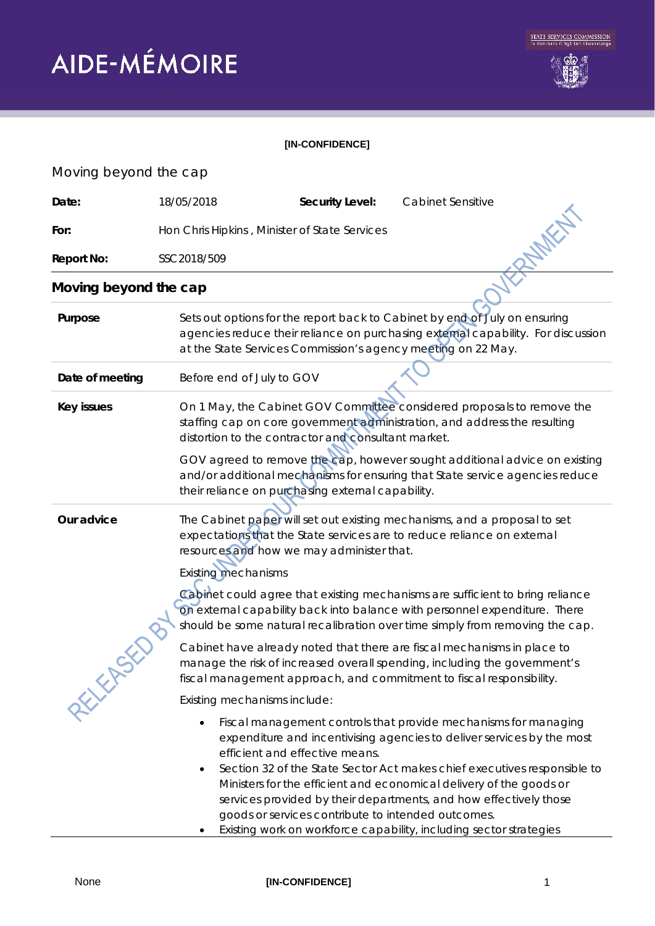

## **[IN-CONFIDENCE]**

## Moving beyond the cap **Date:** 18/05/2018 **Security Level:** Cabinet Sensitive<br> **For:** Hon Chris Hipkins , Minister of State Services<br> **Report No:** SSC2018/509<br> **Moving beyond the computer** For: Hon Chris Hipkins , Minister of State Services **Report No:** SSC2018/509 **Moving beyond the cap**  Purpose **Sets out options for the report back to Cabinet by end of July on ensuring** agencies reduce their reliance on purchasing external capability. For discussion at the State Services Commission's agency meeting on 22 May. **Date of meeting** Before end of July to GOV **Key issues** On 1 May, the Cabinet GOV Committee considered proposals to remove the staffing cap on core government administration, and address the resulting distortion to the contractor and consultant market. GOV agreed to remove the cap, however sought additional advice on existing and/or additional mechanisms for ensuring that State service agencies reduce their reliance on purchasing external capability. **Our advice** The Cabinet paper will set out existing mechanisms, and a proposal to set expectations that the State services are to reduce reliance on external resources and how we may administer that. *Existing mechanisms* Cabinet could agree that existing mechanisms are sufficient to bring reliance on external capability back into balance with personnel expenditure. There RELEASED should be some natural recalibration over time simply from removing the cap. Cabinet have already noted that there are fiscal mechanisms in place to manage the risk of increased overall spending, including the government's fiscal management approach, and commitment to fiscal responsibility. Existing mechanisms include: • Fiscal management controls that provide mechanisms for managing expenditure and incentivising agencies to deliver services by the most efficient and effective means. • Section 32 of the State Sector Act makes chief executives responsible to Ministers for the efficient and economical delivery of the goods or services provided by their departments, and how effectively those goods or services contribute to intended outcomes. Existing work on workforce capability, including sector strategies